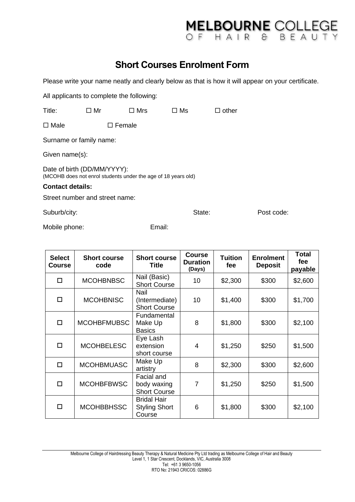## **Short Courses Enrolment Form**

Please write your name neatly and clearly below as that is how it will appear on your certificate.

All applicants to complete the following:

| Title:                                                                                       | $\square$ Mr     | $\square$ Mrs | □ Ms | $\Box$ other |  |  |  |
|----------------------------------------------------------------------------------------------|------------------|---------------|------|--------------|--|--|--|
| $\square$ Male                                                                               | $\square$ Female |               |      |              |  |  |  |
| Surname or family name:                                                                      |                  |               |      |              |  |  |  |
| Given name(s):                                                                               |                  |               |      |              |  |  |  |
| Date of birth (DD/MM/YYYY):<br>(MCOHB does not enrol students under the age of 18 years old) |                  |               |      |              |  |  |  |
| <b>Contact details:</b>                                                                      |                  |               |      |              |  |  |  |
| Street number and street name:                                                               |                  |               |      |              |  |  |  |

Suburb/city: Suburb/city: State: Post code:

MELBOURNE COLLEGE

Mobile phone: Email:

| <b>Select</b><br><b>Course</b> | <b>Short course</b><br>code | <b>Short course</b><br><b>Title</b>                  | <b>Course</b><br><b>Duration</b><br>(Days) | Tuition<br>fee | <b>Enrolment</b><br><b>Deposit</b> | Total<br>fee<br>payable |
|--------------------------------|-----------------------------|------------------------------------------------------|--------------------------------------------|----------------|------------------------------------|-------------------------|
| $\Box$                         | <b>MCOHBNBSC</b>            | Nail (Basic)<br><b>Short Course</b>                  | 10                                         | \$2,300        | \$300                              | \$2,600                 |
| $\Box$                         | <b>MCOHBNISC</b>            | Nail<br>(Intermediate)<br><b>Short Course</b>        | 10                                         | \$1,400        | \$300                              | \$1,700                 |
| $\Box$                         | <b>MCOHBFMUBSC</b>          | Fundamental<br>Make Up<br><b>Basics</b>              | 8                                          | \$1,800        | \$300                              | \$2,100                 |
| $\Box$                         | <b>MCOHBELESC</b>           | Eye Lash<br>extension<br>short course                | 4                                          | \$1,250        | \$250                              | \$1,500                 |
| $\Box$                         | <b>MCOHBMUASC</b>           | Make Up<br>artistry                                  | 8                                          | \$2,300        | \$300                              | \$2,600                 |
| $\Box$                         | <b>MCOHBFBWSC</b>           | Facial and<br>body waxing<br><b>Short Course</b>     | 7                                          | \$1,250        | \$250                              | \$1,500                 |
| □                              | <b>MCOHBBHSSC</b>           | <b>Bridal Hair</b><br><b>Styling Short</b><br>Course | 6                                          | \$1,800        | \$300                              | \$2,100                 |